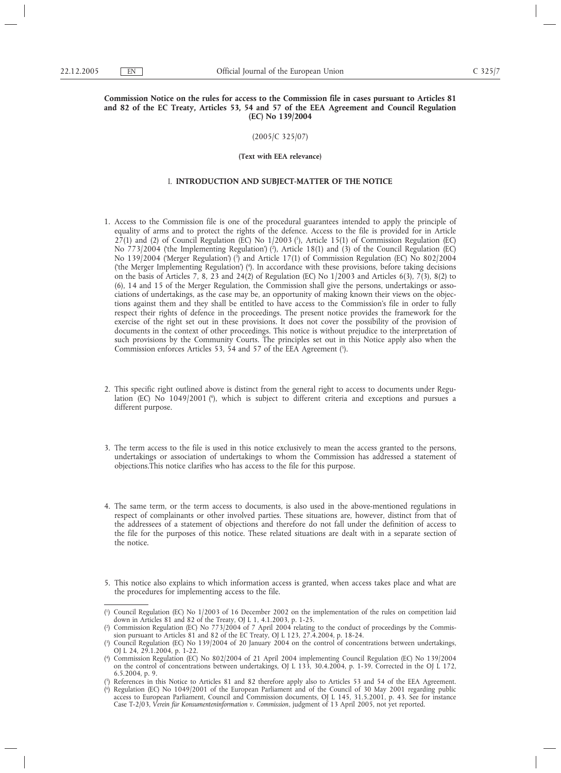### **Commission Notice on the rules for access to the Commission file in cases pursuant to Articles 81 and 82 of the EC Treaty, Articles 53, 54 and 57 of the EEA Agreement and Council Regulation (EC) No 139/2004**

### (2005/C 325/07)

#### **(Text with EEA relevance)**

# I. **INTRODUCTION AND SUBJECT-MATTER OF THE NOTICE**

- 1. Access to the Commission file is one of the procedural guarantees intended to apply the principle of equality of arms and to protect the rights of the defence. Access to the file is provided for in Article 27(1) and (2) of Council Regulation (EC) No 1/2003 (<sup>1</sup>), Article 15(1) of Commission Regulation (EC) No 773/2004 ('the Implementing Regulation') (2 ), Article 18(1) and (3) of the Council Regulation (EC) No 139/2004 ('Merger Regulation') (<sup>3</sup>) and Article 17(1) of Commission Regulation (EC) No 802/2004 (the Merger Implementing Regulation') (<sup>4</sup>). In accordance with these provisions, before taking decisions on the basis of Articles 7, 8, 23 and 24(2) of Regulation (EC) No  $1/2003$  and Articles 6(3), 7(3), 8(2) to (6), 14 and 15 of the Merger Regulation, the Commission shall give the persons, undertakings or associations of undertakings, as the case may be, an opportunity of making known their views on the objections against them and they shall be entitled to have access to the Commission's file in order to fully respect their rights of defence in the proceedings. The present notice provides the framework for the exercise of the right set out in these provisions. It does not cover the possibility of the provision of documents in the context of other proceedings. This notice is without prejudice to the interpretation of such provisions by the Community Courts. The principles set out in this Notice apply also when the Commission enforces Articles 53, 54 and 57 of the EEA Agreement (5).
- 2. This specific right outlined above is distinct from the general right to access to documents under Regulation (EC) No 1049/2001 (°), which is subject to different criteria and exceptions and pursues a different purpose.
- 3. The term access to the file is used in this notice exclusively to mean the access granted to the persons, undertakings or association of undertakings to whom the Commission has addressed a statement of objections.This notice clarifies who has access to the file for this purpose.
- 4. The same term, or the term access to documents, is also used in the above-mentioned regulations in respect of complainants or other involved parties. These situations are, however, distinct from that of the addressees of a statement of objections and therefore do not fall under the definition of access to the file for the purposes of this notice. These related situations are dealt with in a separate section of the notice.
- 5. This notice also explains to which information access is granted, when access takes place and what are the procedures for implementing access to the file.

<sup>(</sup> 1 ) Council Regulation (EC) No 1/2003 of 16 December 2002 on the implementation of the rules on competition laid down in Articles 81 and 82 of the Treaty, OJ L 1, 4.1.2003, p. 1-25.

<sup>(</sup> 2 ) Commission Regulation (EC) No 773/2004 of 7 April 2004 relating to the conduct of proceedings by the Commission pursuant to Articles 81 and 82 of the EC Treaty, OJ L 123, 27.4.2004, p. 18-24.

<sup>(</sup> 3 ) Council Regulation (EC) No 139/2004 of 20 January 2004 on the control of concentrations between undertakings, OJ L 24, 29.1.2004, p. 1-22.

<sup>(</sup> 4 ) Commission Regulation (EC) No 802/2004 of 21 April 2004 implementing Council Regulation (EC) No 139/2004 on the control of concentrations between undertakings, OJ L 133, 30.4.2004, p. 1-39. Corrected in the OJ L 172, 6.5.2004, p. 9.

<sup>(</sup> 5 ) References in this Notice to Articles 81 and 82 therefore apply also to Articles 53 and 54 of the EEA Agreement. ( 6 ) Regulation (EC) No 1049/2001 of the European Parliament and of the Council of 30 May 2001 regarding public access to European Parliament, Council and Commission documents, OJ L 145, 31.5.2001, p. 43. See for instance Case T-2/03, *Verein für Konsumenteninformation v. Commission*, judgment of 13 April 2005, not yet reported.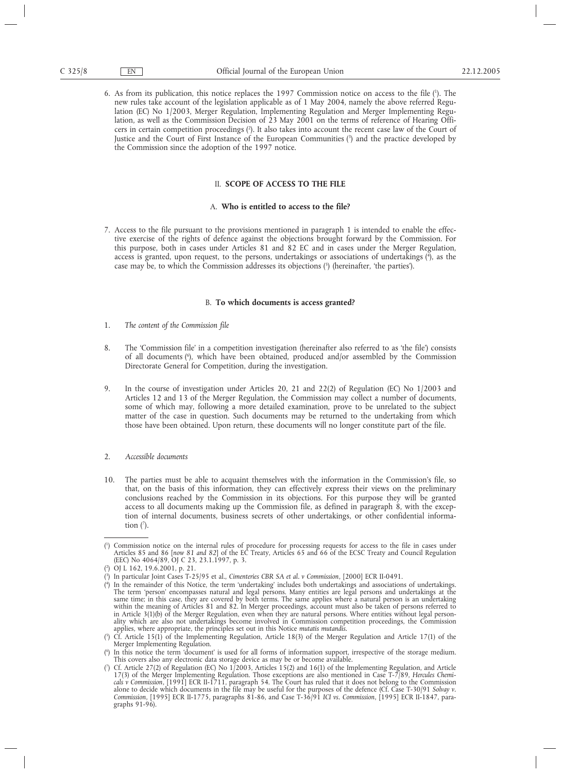6. As from its publication, this notice replaces the 1997 Commission notice on access to the file (1 ). The new rules take account of the legislation applicable as of 1 May 2004, namely the above referred Regulation (EC) No 1/2003, Merger Regulation, Implementing Regulation and Merger Implementing Regulation, as well as the Commission Decision of 23 May 2001 on the terms of reference of Hearing Officers in certain competition proceedings (?). It also takes into account the recent case law of the Court of Justice and the Court of First Instance of the European Communities (3) and the practice developed by the Commission since the adoption of the 1997 notice.

## II. **SCOPE OF ACCESS TO THE FILE**

### A. **Who is entitled to access to the file?**

7. Access to the file pursuant to the provisions mentioned in paragraph 1 is intended to enable the effective exercise of the rights of defence against the objections brought forward by the Commission. For this purpose, both in cases under Articles 81 and 82 EC and in cases under the Merger Regulation, access is granted, upon request, to the persons, undertakings or associations of undertakings (\*), as the case may be, to which the Commission addresses its objections (5) (hereinafter, 'the parties').

### B. **To which documents is access granted?**

- 1. *The content of the Commission file*
- 8. The 'Commission file' in a competition investigation (hereinafter also referred to as 'the file') consists of all documents ( $\degree$ ), which have been obtained, produced and/or assembled by the Commission Directorate General for Competition, during the investigation.
- 9. In the course of investigation under Articles 20, 21 and 22(2) of Regulation (EC) No 1/2003 and Articles 12 and 13 of the Merger Regulation, the Commission may collect a number of documents, some of which may, following a more detailed examination, prove to be unrelated to the subject matter of the case in question. Such documents may be returned to the undertaking from which those have been obtained. Upon return, these documents will no longer constitute part of the file.
- 2. *Accessible documents*
- 10. The parties must be able to acquaint themselves with the information in the Commission's file, so that, on the basis of this information, they can effectively express their views on the preliminary conclusions reached by the Commission in its objections. For this purpose they will be granted access to all documents making up the Commission file, as defined in paragraph 8, with the exception of internal documents, business secrets of other undertakings, or other confidential information  $(7)$ .

<sup>(</sup> 1 ) Commission notice on the internal rules of procedure for processing requests for access to the file in cases under Articles 85 and 86 [*now 81 and 82*] of the EC Treaty, Articles 65 and 66 of the ECSC Treaty and Council Regulation (EEC) No 4064/89, OJ C 23, 23.1.1997, p. 3.

<sup>(</sup> 2 ) OJ L 162, 19.6.2001, p. 21.

<sup>(</sup> 3 ) In particular Joint Cases T-25/95 et al., *Cimenteries CBR SA et al. v Commission*, [2000] ECR II-0491.

<sup>(</sup> 4 ) In the remainder of this Notice, the term 'undertaking' includes both undertakings and associations of undertakings. The term 'person' encompasses natural and legal persons. Many entities are legal persons and undertakings at the same time; in this case, they are covered by both terms. The same applies where a natural person is an undertaking within the meaning of Articles 81 and 82. In Merger proceedings, account must also be taken of persons referred to in Article 3(1)(b) of the Merger Regulation, even when they are natural persons. Where entities without legal personality which are also not undertakings become involved in Commission competition proceedings, the Commission applies, where appropriate, the principles set out in this Notice *mutatis mutandis.*

<sup>(</sup> 5 ) Cf. Article 15(1) of the Implementing Regulation, Article 18(3) of the Merger Regulation and Article 17(1) of the Merger Implementing Regulation.

<sup>(</sup> 6 ) In this notice the term 'document' is used for all forms of information support, irrespective of the storage medium. This covers also any electronic data storage device as may be or become available.

<sup>(</sup> 7 ) Cf. Article 27(2) of Regulation (EC) No 1/2003, Articles 15(2) and 16(1) of the Implementing Regulation, and Article 17(3) of the Merger Implementing Regulation. Those exceptions are also mentioned in Case T-7/89, *Hercules Chemicals v Commission*, [1991] ECR II-1711, paragraph 54. The Court has ruled that it does not belong to the Commission alone to decide which documents in the file may be useful for the purposes of the defence (Cf. Case T-30/91 *Solvay v. Commission*, [1995] ECR II-1775, paragraphs 81-86, and Case T-36/91 *ICI vs. Commission*, [1995] ECR II-1847, paragraphs 91-96).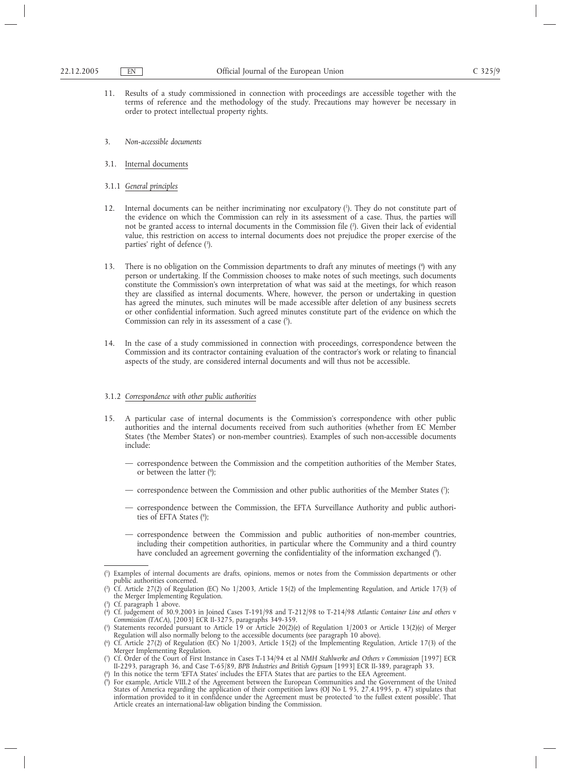- 11. Results of a study commissioned in connection with proceedings are accessible together with the terms of reference and the methodology of the study. Precautions may however be necessary in order to protect intellectual property rights.
- 3. *Non-accessible documents*
- 3.1. Internal documents
- 3.1.1 *General principles*
- 12. Internal documents can be neither incriminating nor exculpatory (1 ). They do not constitute part of the evidence on which the Commission can rely in its assessment of a case. Thus, the parties will not be granted access to internal documents in the Commission file (2 ). Given their lack of evidential value, this restriction on access to internal documents does not prejudice the proper exercise of the parties' right of defence (3 ).
- 13. There is no obligation on the Commission departments to draft any minutes of meetings (<sup>4</sup>) with any person or undertaking. If the Commission chooses to make notes of such meetings, such documents constitute the Commission's own interpretation of what was said at the meetings, for which reason they are classified as internal documents. Where, however, the person or undertaking in question has agreed the minutes, such minutes will be made accessible after deletion of any business secrets or other confidential information. Such agreed minutes constitute part of the evidence on which the Commission can rely in its assessment of a case  $(5)$ .
- 14. In the case of a study commissioned in connection with proceedings, correspondence between the Commission and its contractor containing evaluation of the contractor's work or relating to financial aspects of the study, are considered internal documents and will thus not be accessible.

## 3.1.2 *Correspondence with other public authorities*

- 15. A particular case of internal documents is the Commission's correspondence with other public authorities and the internal documents received from such authorities (whether from EC Member States ('the Member States') or non-member countries). Examples of such non-accessible documents include:
	- correspondence between the Commission and the competition authorities of the Member States, or between the latter  $(6)$ ;
	- correspondence between the Commission and other public authorities of the Member States (7 );
	- correspondence between the Commission, the EFTA Surveillance Authority and public authorities of EFTA States (8 );
	- correspondence between the Commission and public authorities of non-member countries, including their competition authorities, in particular where the Community and a third country have concluded an agreement governing the confidentiality of the information exchanged (9 ).

<sup>(</sup> 1 ) Examples of internal documents are drafts, opinions, memos or notes from the Commission departments or other public authorities concerned.

<sup>(</sup> 2 ) Cf. Article 27(2) of Regulation (EC) No 1/2003, Article 15(2) of the Implementing Regulation, and Article 17(3) of the Merger Implementing Regulation.

<sup>(</sup> 3 ) Cf. paragraph 1 above.

<sup>(</sup> 4 ) Cf. judgement of 30.9.2003 in Joined Cases T-191/98 and T-212/98 to T-214/98 *Atlantic Container Line and others* v *Commission* (*TACA*), [2003] ECR II-3275, paragraphs 349-359.

<sup>(</sup> 5 ) Statements recorded pursuant to Article 19 or Article 20(2)(e) of Regulation 1/2003 or Article 13(2)(e) of Merger Regulation will also normally belong to the accessible documents (see paragraph 10 above).

<sup>(</sup> 6 ) Cf. Article 27(2) of Regulation (EC) No 1/2003, Article 15(2) of the Implementing Regulation, Article 17(3) of the Merger Implementing Regulation.

<sup>(</sup> 7 ) Cf. Order of the Court of First Instance in Cases T-134/94 et al *NMH Stahlwerke and Others v Commission* [1997] ECR II-2293, paragraph 36, and Case T-65/89, *BPB Industries and British Gypsum* [1993] ECR II-389, paragraph 33.

<sup>(</sup> 8 ) In this notice the term 'EFTA States' includes the EFTA States that are parties to the EEA Agreement.

<sup>(</sup> 9 ) For example, Article VIII.2 of the Agreement between the European Communities and the Government of the United States of America regarding the application of their competition laws (OJ No L 95, 27.4.1995, p. 47) stipulates that information provided to it in confidence under the Agreement must be protected 'to the fullest extent possible'. That Article creates an international-law obligation binding the Commission.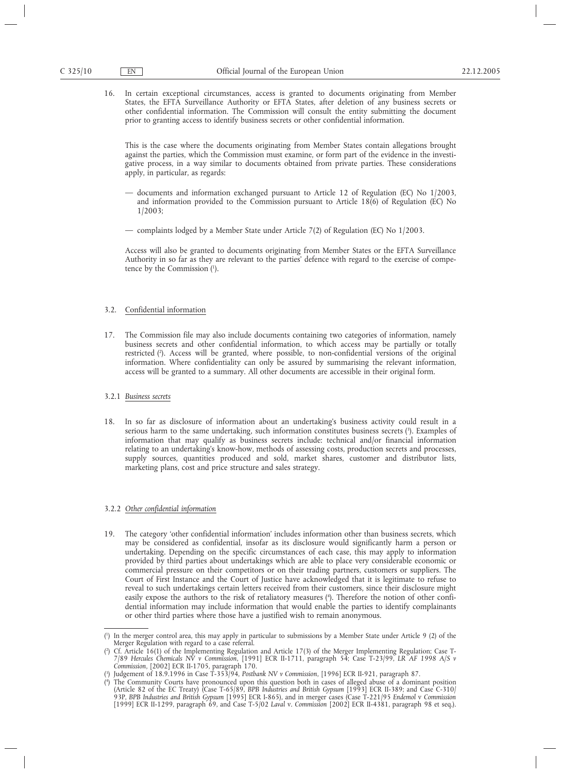16. In certain exceptional circumstances, access is granted to documents originating from Member States, the EFTA Surveillance Authority or EFTA States, after deletion of any business secrets or other confidential information. The Commission will consult the entity submitting the document prior to granting access to identify business secrets or other confidential information.

This is the case where the documents originating from Member States contain allegations brought against the parties, which the Commission must examine, or form part of the evidence in the investigative process, in a way similar to documents obtained from private parties. These considerations apply, in particular, as regards:

- documents and information exchanged pursuant to Article 12 of Regulation (EC) No 1/2003, and information provided to the Commission pursuant to Article 18(6) of Regulation (EC) No 1/2003;
- complaints lodged by a Member State under Article 7(2) of Regulation (EC) No 1/2003.

Access will also be granted to documents originating from Member States or the EFTA Surveillance Authority in so far as they are relevant to the parties' defence with regard to the exercise of competence by the Commission (1).

## 3.2. Confidential information

17. The Commission file may also include documents containing two categories of information, namely business secrets and other confidential information, to which access may be partially or totally restricted (2 ). Access will be granted, where possible, to non-confidential versions of the original information. Where confidentiality can only be assured by summarising the relevant information, access will be granted to a summary. All other documents are accessible in their original form.

### 3.2.1 *Business secrets*

18. In so far as disclosure of information about an undertaking's business activity could result in a serious harm to the same undertaking, such information constitutes business secrets (3). Examples of information that may qualify as business secrets include: technical and/or financial information relating to an undertaking's know-how, methods of assessing costs, production secrets and processes, supply sources, quantities produced and sold, market shares, customer and distributor lists, marketing plans, cost and price structure and sales strategy.

#### 3.2.2 *Other confidential information*

19. The category 'other confidential information' includes information other than business secrets, which may be considered as confidential, insofar as its disclosure would significantly harm a person or undertaking. Depending on the specific circumstances of each case, this may apply to information provided by third parties about undertakings which are able to place very considerable economic or commercial pressure on their competitors or on their trading partners, customers or suppliers. The Court of First Instance and the Court of Justice have acknowledged that it is legitimate to refuse to reveal to such undertakings certain letters received from their customers, since their disclosure might easily expose the authors to the risk of retaliatory measures (4 ). Therefore the notion of other confidential information may include information that would enable the parties to identify complainants or other third parties where those have a justified wish to remain anonymous.

<sup>(</sup> 1 ) In the merger control area, this may apply in particular to submissions by a Member State under Article 9 (2) of the Merger Regulation with regard to a case referral.

<sup>(</sup> 2 ) Cf. Article 16(1) of the Implementing Regulation and Article 17(3) of the Merger Implementing Regulation; Case T-7/89 *Hercules Chemicals NV v Commission*, [1991] ECR II-1711, paragraph 54; Case T-23/99, *LR AF 1998 A/S v Commission*, [2002] ECR II-1705, paragraph 170.

<sup>(</sup> 3 ) Judgement of 18.9.1996 in Case T-353/94, *Postbank NV v Commission*, [1996] ECR II-921, paragraph 87.

<sup>(</sup> 4 ) The Community Courts have pronounced upon this question both in cases of alleged abuse of a dominant position (Article 82 of the EC Treaty) (Case T-65/89, *BPB Industries and British Gypsum* [1993] ECR II-389; and Case C-310/ 93P, *BPB Industries and British Gypsum* [1995] ECR I-865), and in merger cases (Case T-221/95 *Endemol* v *Commission* [1999] ECR II-1299, paragraph 69, and Case T-5/02 *Laval* v. *Commission* [2002] ECR II-4381, paragraph 98 et seq.).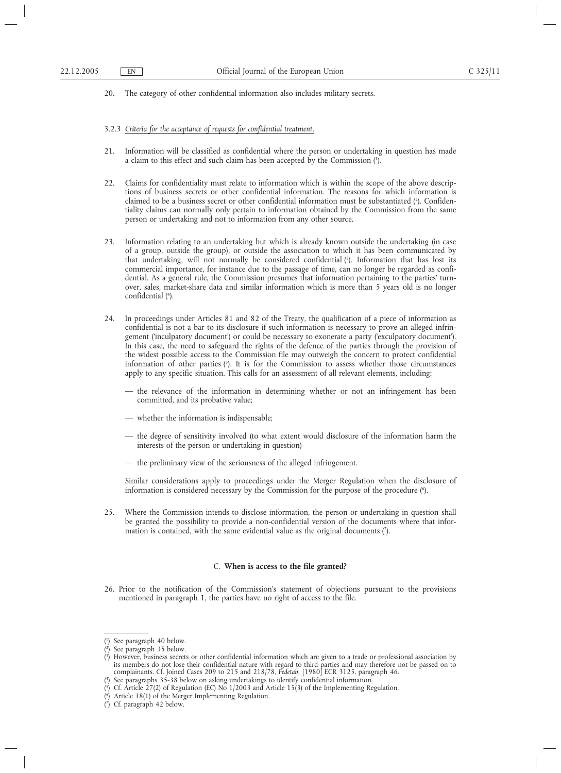#### 20. The category of other confidential information also includes military secrets.

### 3.2.3 *Criteria for the acceptance of requests for confidential treatment.*

- 21. Information will be classified as confidential where the person or undertaking in question has made a claim to this effect and such claim has been accepted by the Commission (1 ).
- 22. Claims for confidentiality must relate to information which is within the scope of the above descriptions of business secrets or other confidential information. The reasons for which information is claimed to be a business secret or other confidential information must be substantiated ( $\dot{\;}$ ). Confidentiality claims can normally only pertain to information obtained by the Commission from the same person or undertaking and not to information from any other source.
- 23. Information relating to an undertaking but which is already known outside the undertaking (in case of a group, outside the group), or outside the association to which it has been communicated by that undertaking, will not normally be considered confidential (3 ). Information that has lost its commercial importance, for instance due to the passage of time, can no longer be regarded as confidential. As a general rule, the Commission presumes that information pertaining to the parties' turnover, sales, market-share data and similar information which is more than 5 years old is no longer confidential (4 ).
- 24. In proceedings under Articles 81 and 82 of the Treaty, the qualification of a piece of information as confidential is not a bar to its disclosure if such information is necessary to prove an alleged infringement ('inculpatory document') or could be necessary to exonerate a party ('exculpatory document'). In this case, the need to safeguard the rights of the defence of the parties through the provision of the widest possible access to the Commission file may outweigh the concern to protect confidential information of other parties  $(3)$ . It is for the Commission to assess whether those circumstances apply to any specific situation. This calls for an assessment of all relevant elements, including:
	- the relevance of the information in determining whether or not an infringement has been committed, and its probative value;
	- whether the information is indispensable;
	- the degree of sensitivity involved (to what extent would disclosure of the information harm the interests of the person or undertaking in question)
	- the preliminary view of the seriousness of the alleged infringement.

Similar considerations apply to proceedings under the Merger Regulation when the disclosure of information is considered necessary by the Commission for the purpose of the procedure (°).

25. Where the Commission intends to disclose information, the person or undertaking in question shall be granted the possibility to provide a non-confidential version of the documents where that information is contained, with the same evidential value as the original documents ( $\!\!\!^{\gamma}\!\!$  ).

## C. **When is access to the file granted?**

26. Prior to the notification of the Commission's statement of objections pursuant to the provisions mentioned in paragraph 1, the parties have no right of access to the file.

<sup>(</sup> 1 ) See paragraph 40 below.

<sup>(</sup> 2 ) See paragraph 35 below.

<sup>(</sup> 3 ) However, business secrets or other confidential information which are given to a trade or professional association by its members do not lose their confidential nature with regard to third parties and may therefore not be passed on to complainants. Cf. Joined Cases 209 to 215 and 218/78, *Fedetab,* [1980] ECR 3125, paragraph 46.

<sup>(</sup> 4 ) See paragraphs 35-38 below on asking undertakings to identify confidential information.

<sup>(</sup> 5 ) Cf. Article 27(2) of Regulation (EC) No 1/2003 and Article 15(3) of the Implementing Regulation.

<sup>(</sup> 6 ) Article 18(1) of the Merger Implementing Regulation.

<sup>(</sup> 7 ) Cf. paragraph 42 below.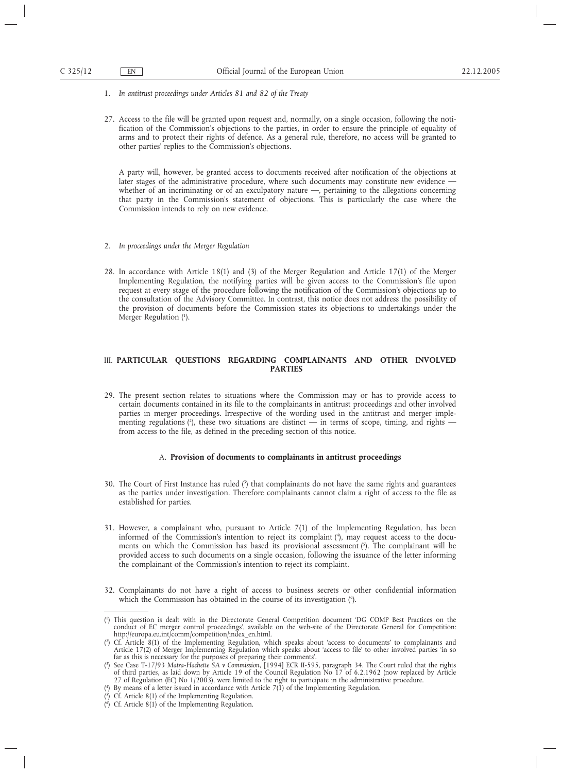- 1. *In antitrust proceedings under Articles 81 and 82 of the Treaty*
- 27. Access to the file will be granted upon request and, normally, on a single occasion, following the notification of the Commission's objections to the parties, in order to ensure the principle of equality of arms and to protect their rights of defence. As a general rule, therefore, no access will be granted to other parties' replies to the Commission's objections.

A party will, however, be granted access to documents received after notification of the objections at later stages of the administrative procedure, where such documents may constitute new evidence whether of an incriminating or of an exculpatory nature —, pertaining to the allegations concerning that party in the Commission's statement of objections. This is particularly the case where the Commission intends to rely on new evidence.

- 2. *In proceedings under the Merger Regulation*
- 28. In accordance with Article 18(1) and (3) of the Merger Regulation and Article 17(1) of the Merger Implementing Regulation, the notifying parties will be given access to the Commission's file upon request at every stage of the procedure following the notification of the Commission's objections up to the consultation of the Advisory Committee. In contrast, this notice does not address the possibility of the provision of documents before the Commission states its objections to undertakings under the Merger Regulation (1).

# III. **PARTICULAR QUESTIONS REGARDING COMPLAINANTS AND OTHER INVOLVED PARTIES**

29. The present section relates to situations where the Commission may or has to provide access to certain documents contained in its file to the complainants in antitrust proceedings and other involved parties in merger proceedings. Irrespective of the wording used in the antitrust and merger implementing regulations ( $\degree$ ), these two situations are distinct — in terms of scope, timing, and rights from access to the file, as defined in the preceding section of this notice.

### A. **Provision of documents to complainants in antitrust proceedings**

- 30. The Court of First Instance has ruled (3) that complainants do not have the same rights and guarantees as the parties under investigation. Therefore complainants cannot claim a right of access to the file as established for parties.
- 31. However, a complainant who, pursuant to Article  $7(1)$  of the Implementing Regulation, has been informed of the Commission's intention to reject its complaint (4 ), may request access to the documents on which the Commission has based its provisional assessment (5 ). The complainant will be provided access to such documents on a single occasion, following the issuance of the letter informing the complainant of the Commission's intention to reject its complaint.
- 32. Complainants do not have a right of access to business secrets or other confidential information which the Commission has obtained in the course of its investigation (°).

<sup>(</sup> 1 ) This question is dealt with in the Directorate General Competition document 'DG COMP Best Practices on the conduct of EC merger control proceedings', available on the web-site of the Directorate General for Competition: http://europa.eu.int/comm/competition/index\_en.html.

<sup>(</sup> 2 ) Cf. Article 8(1) of the Implementing Regulation, which speaks about 'access to documents' to complainants and Article 17(2) of Merger Implementing Regulation which speaks about 'access to file' to other involved parties 'in so far as this is necessary for the purposes of preparing their comments'.

<sup>&</sup>lt;sup>(3</sup>) See Case T-17/93 Matra-Hachette SA v Commission, [1994] ECR II-595, paragraph 34. The Court ruled that the rights of third parties, as laid down by Article 19 of the Council Regulation No 17 of 6.2.1962 (now replaced 27 of Regulation (EC) No 1/2003), were limited to the right to participate in the administrative procedure.

<sup>(</sup> 4 ) By means of a letter issued in accordance with Article 7(1) of the Implementing Regulation.

<sup>(</sup> 5 ) Cf. Article 8(1) of the Implementing Regulation.

<sup>(</sup> 6 ) Cf. Article 8(1) of the Implementing Regulation.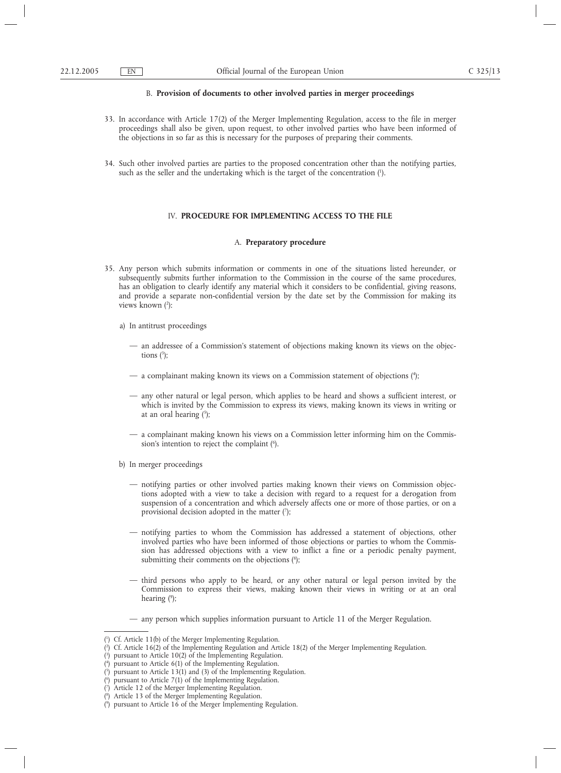#### B. **Provision of documents to other involved parties in merger proceedings**

- 33. In accordance with Article 17(2) of the Merger Implementing Regulation, access to the file in merger proceedings shall also be given, upon request, to other involved parties who have been informed of the objections in so far as this is necessary for the purposes of preparing their comments.
- 34. Such other involved parties are parties to the proposed concentration other than the notifying parties, such as the seller and the undertaking which is the target of the concentration (<sup>1</sup>).

## IV. **PROCEDURE FOR IMPLEMENTING ACCESS TO THE FILE**

### A. **Preparatory procedure**

- 35. Any person which submits information or comments in one of the situations listed hereunder, or subsequently submits further information to the Commission in the course of the same procedures, has an obligation to clearly identify any material which it considers to be confidential, giving reasons, and provide a separate non-confidential version by the date set by the Commission for making its views known (2 ):
	- a) In antitrust proceedings
		- an addressee of a Commission's statement of objections making known its views on the objections  $(3)$ ;
		- a complainant making known its views on a Commission statement of objections (4 );
		- any other natural or legal person, which applies to be heard and shows a sufficient interest, or which is invited by the Commission to express its views, making known its views in writing or at an oral hearing  $(5)$ ;
		- a complainant making known his views on a Commission letter informing him on the Commission's intention to reject the complaint (6).
	- b) In merger proceedings
		- notifying parties or other involved parties making known their views on Commission objections adopted with a view to take a decision with regard to a request for a derogation from suspension of a concentration and which adversely affects one or more of those parties, or on a provisional decision adopted in the matter  $(');$
		- notifying parties to whom the Commission has addressed a statement of objections, other involved parties who have been informed of those objections or parties to whom the Commission has addressed objections with a view to inflict a fine or a periodic penalty payment, submitting their comments on the objections (<sup>8</sup>);
		- third persons who apply to be heard, or any other natural or legal person invited by the Commission to express their views, making known their views in writing or at an oral hearing (9);
		- any person which supplies information pursuant to Article 11 of the Merger Regulation.

<sup>(</sup> 1 ) Cf. Article 11(b) of the Merger Implementing Regulation.

<sup>(</sup> 2 ) Cf. Article 16(2) of the Implementing Regulation and Article 18(2) of the Merger Implementing Regulation.

<sup>(</sup> 3 ) pursuant to Article 10(2) of the Implementing Regulation.

<sup>(</sup> 4 ) pursuant to Article 6(1) of the Implementing Regulation.

<sup>(</sup> 5 ) pursuant to Article 13(1) and (3) of the Implementing Regulation.

<sup>(</sup> 6 ) pursuant to Article 7(1) of the Implementing Regulation.

<sup>(</sup> 7 ) Article 12 of the Merger Implementing Regulation.

<sup>(</sup> 8 ) Article 13 of the Merger Implementing Regulation.

<sup>(</sup> 9 ) pursuant to Article 16 of the Merger Implementing Regulation.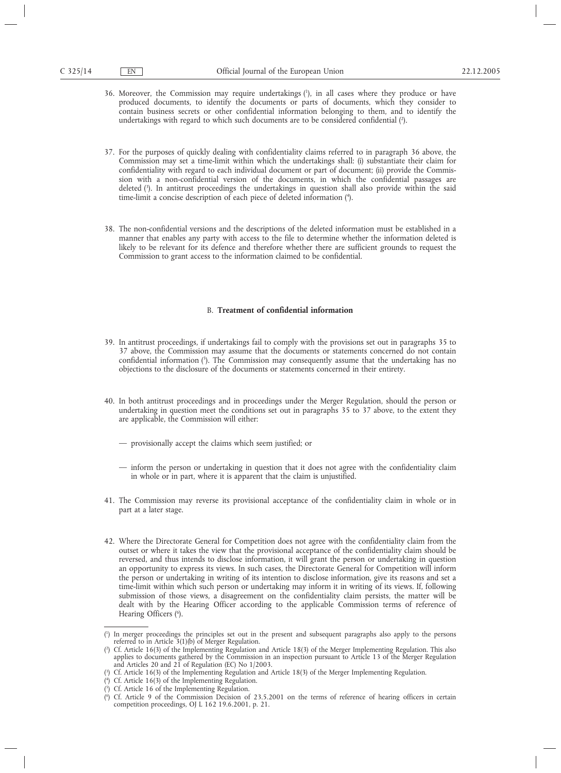- 36. Moreover, the Commission may require undertakings (1), in all cases where they produce or have produced documents, to identify the documents or parts of documents, which they consider to contain business secrets or other confidential information belonging to them, and to identify the undertakings with regard to which such documents are to be considered confidential (?).
- 37. For the purposes of quickly dealing with confidentiality claims referred to in paragraph 36 above, the Commission may set a time-limit within which the undertakings shall: (i) substantiate their claim for confidentiality with regard to each individual document or part of document; (ii) provide the Commission with a non-confidential version of the documents, in which the confidential passages are deleted (3 ). In antitrust proceedings the undertakings in question shall also provide within the said time-limit a concise description of each piece of deleted information (4 ).
- 38. The non-confidential versions and the descriptions of the deleted information must be established in a manner that enables any party with access to the file to determine whether the information deleted is likely to be relevant for its defence and therefore whether there are sufficient grounds to request the Commission to grant access to the information claimed to be confidential.

## B. **Treatment of confidential information**

- 39. In antitrust proceedings, if undertakings fail to comply with the provisions set out in paragraphs 35 to 37 above, the Commission may assume that the documents or statements concerned do not contain confidential information (5 ). The Commission may consequently assume that the undertaking has no objections to the disclosure of the documents or statements concerned in their entirety.
- 40. In both antitrust proceedings and in proceedings under the Merger Regulation, should the person or undertaking in question meet the conditions set out in paragraphs 35 to 37 above, to the extent they are applicable, the Commission will either:
	- provisionally accept the claims which seem justified; or
	- inform the person or undertaking in question that it does not agree with the confidentiality claim in whole or in part, where it is apparent that the claim is unjustified.
- 41. The Commission may reverse its provisional acceptance of the confidentiality claim in whole or in part at a later stage.
- 42. Where the Directorate General for Competition does not agree with the confidentiality claim from the outset or where it takes the view that the provisional acceptance of the confidentiality claim should be reversed, and thus intends to disclose information, it will grant the person or undertaking in question an opportunity to express its views. In such cases, the Directorate General for Competition will inform the person or undertaking in writing of its intention to disclose information, give its reasons and set a time-limit within which such person or undertaking may inform it in writing of its views. If, following submission of those views, a disagreement on the confidentiality claim persists, the matter will be dealt with by the Hearing Officer according to the applicable Commission terms of reference of Hearing Officers (6).

<sup>(</sup> 1 ) In merger proceedings the principles set out in the present and subsequent paragraphs also apply to the persons referred to in Article 3(1)(b) of Merger Regulation.

<sup>(</sup> 2 ) Cf. Article 16(3) of the Implementing Regulation and Article 18(3) of the Merger Implementing Regulation. This also applies to documents gathered by the Commission in an inspection pursuant to Article 13 of the Merger Regulation and Articles 20 and 21 of Regulation (EC) No 1/2003.

<sup>(</sup> 3 ) Cf. Article 16(3) of the Implementing Regulation and Article 18(3) of the Merger Implementing Regulation.

<sup>(</sup> 4 ) Cf. Article 16(3) of the Implementing Regulation.

<sup>(</sup> 5 ) Cf. Article 16 of the Implementing Regulation.

<sup>(</sup> 6 ) Cf. Article 9 of the Commission Decision of 23.5.2001 on the terms of reference of hearing officers in certain competition proceedings, OJ L 162 19.6.2001, p. 21.